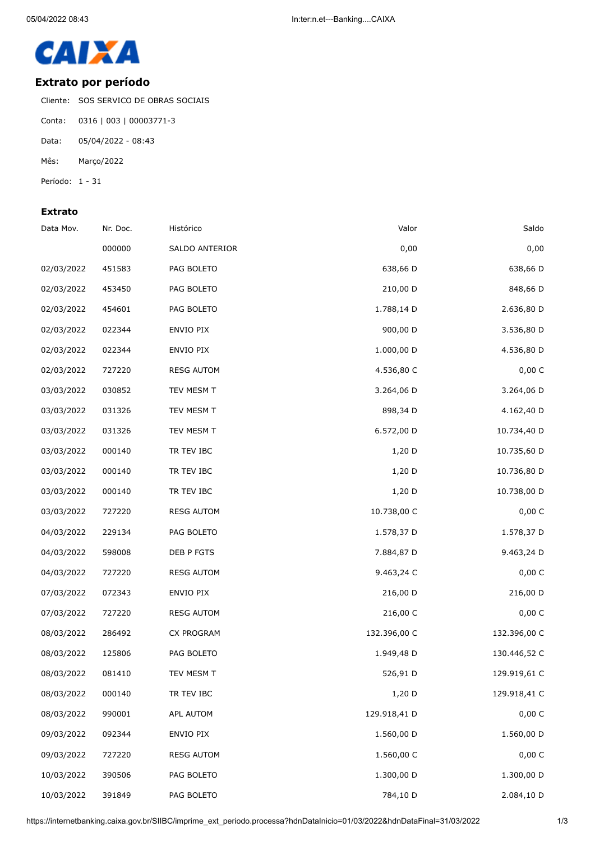

## **Extrato por período**

Cliente: SOS SERVICO DE OBRAS SOCIAIS

- Conta: 0316 | 003 | 00003771-3
- Data: 05/04/2022 08:43
- Mês: Março/2022
- Período: 1 31

## **Extrato**

| Saldo        | Valor        | Histórico         | Nr. Doc. | Data Mov.  |
|--------------|--------------|-------------------|----------|------------|
| 0,00         | 0,00         | SALDO ANTERIOR    | 000000   |            |
| 638,66 D     | 638,66 D     | PAG BOLETO        | 451583   | 02/03/2022 |
| 848,66 D     | 210,00 D     | PAG BOLETO        | 453450   | 02/03/2022 |
| 2.636,80 D   | 1.788,14 D   | PAG BOLETO        | 454601   | 02/03/2022 |
| 3.536,80 D   | 900,00 D     | ENVIO PIX         | 022344   | 02/03/2022 |
| 4.536,80 D   | 1.000,00 D   | ENVIO PIX         | 022344   | 02/03/2022 |
| 0,00 C       | 4.536,80 C   | <b>RESG AUTOM</b> | 727220   | 02/03/2022 |
| 3.264,06 D   | 3.264,06 D   | TEV MESM T        | 030852   | 03/03/2022 |
| 4.162,40 D   | 898,34 D     | TEV MESM T        | 031326   | 03/03/2022 |
| 10.734,40 D  | 6.572,00 D   | TEV MESM T        | 031326   | 03/03/2022 |
| 10.735,60 D  | 1,20 D       | TR TEV IBC        | 000140   | 03/03/2022 |
| 10.736,80 D  | $1,20$ D     | TR TEV IBC        | 000140   | 03/03/2022 |
| 10.738,00 D  | 1,20 D       | TR TEV IBC        | 000140   | 03/03/2022 |
| 0,00C        | 10.738,00 C  | <b>RESG AUTOM</b> | 727220   | 03/03/2022 |
| 1.578,37 D   | 1.578,37 D   | PAG BOLETO        | 229134   | 04/03/2022 |
| 9.463,24 D   | 7.884,87 D   | DEB P FGTS        | 598008   | 04/03/2022 |
| 0,00 C       | 9.463,24 C   | <b>RESG AUTOM</b> | 727220   | 04/03/2022 |
| 216,00 D     | 216,00 D     | ENVIO PIX         | 072343   | 07/03/2022 |
| 0,00 C       | 216,00 C     | <b>RESG AUTOM</b> | 727220   | 07/03/2022 |
| 132.396,00 C | 132.396,00 C | CX PROGRAM        | 286492   | 08/03/2022 |
| 130.446,52 C | 1.949,48 D   | PAG BOLETO        | 125806   | 08/03/2022 |
| 129.919,61 C | 526,91 D     | TEV MESM T        | 081410   | 08/03/2022 |
| 129.918,41 C | $1,20$ D     | TR TEV IBC        | 000140   | 08/03/2022 |
| 0,00 C       | 129.918,41 D | APL AUTOM         | 990001   | 08/03/2022 |
| 1.560,00 D   | 1.560,00 D   | ENVIO PIX         | 092344   | 09/03/2022 |
| 0,00 C       | 1.560,00 C   | <b>RESG AUTOM</b> | 727220   | 09/03/2022 |
| 1.300,00 D   | 1.300,00 D   | PAG BOLETO        | 390506   | 10/03/2022 |
| 2.084,10 D   | 784,10 D     | PAG BOLETO        | 391849   | 10/03/2022 |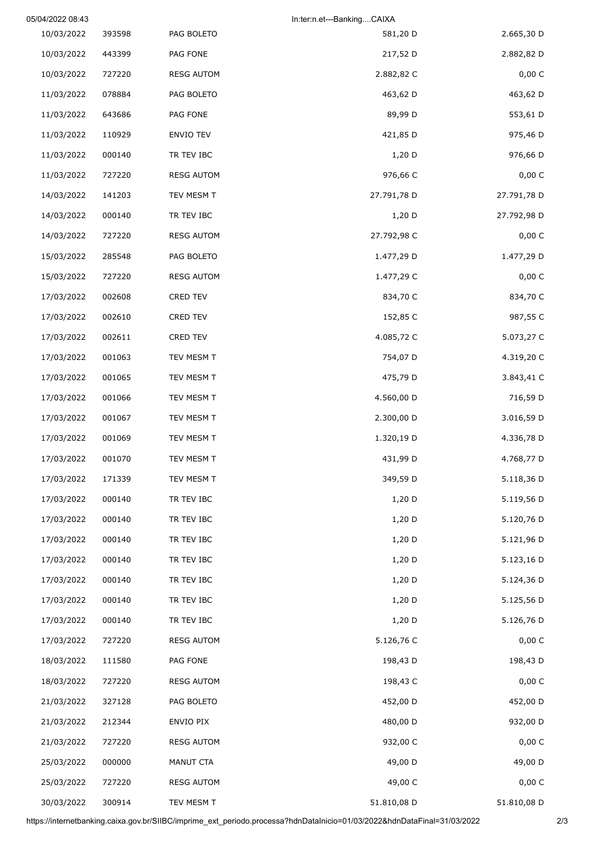|             | In:ter:n.et---BankingCAIXA |                   | 05/04/2022 08:43 |            |  |
|-------------|----------------------------|-------------------|------------------|------------|--|
| 2.665,30 D  | 581,20 D                   | PAG BOLETO        | 393598           | 10/03/2022 |  |
| 2.882,82 D  | 217,52 D                   | PAG FONE          | 443399           | 10/03/2022 |  |
| 0,00 C      | 2.882,82 C                 | <b>RESG AUTOM</b> | 727220           | 10/03/2022 |  |
| 463,62 D    | 463,62 D                   | PAG BOLETO        | 078884           | 11/03/2022 |  |
| 553,61 D    | 89,99 D                    | PAG FONE          | 643686           | 11/03/2022 |  |
| 975,46 D    | 421,85 D                   | ENVIO TEV         | 110929           | 11/03/2022 |  |
| 976,66 D    | $1,20$ D                   | TR TEV IBC        | 000140           | 11/03/2022 |  |
| 0,00 C      | 976,66 C                   | <b>RESG AUTOM</b> | 727220           | 11/03/2022 |  |
| 27.791,78 D | 27.791,78 D                | TEV MESM T        | 141203           | 14/03/2022 |  |
| 27.792,98 D | $1,20$ D                   | TR TEV IBC        | 000140           | 14/03/2022 |  |
| 0,00 C      | 27.792,98 C                | <b>RESG AUTOM</b> | 727220           | 14/03/2022 |  |
| 1.477,29 D  | 1.477,29 D                 | PAG BOLETO        | 285548           | 15/03/2022 |  |
| 0,00 C      | 1.477,29 C                 | <b>RESG AUTOM</b> | 727220           | 15/03/2022 |  |
| 834,70 C    | 834,70 C                   | <b>CRED TEV</b>   | 002608           | 17/03/2022 |  |
| 987,55 C    | 152,85 C                   | <b>CRED TEV</b>   | 002610           | 17/03/2022 |  |
| 5.073,27 C  | 4.085,72 C                 | CRED TEV          | 002611           | 17/03/2022 |  |
| 4.319,20 C  | 754,07 D                   | TEV MESM T        | 001063           | 17/03/2022 |  |
| 3.843,41 C  | 475,79 D                   | TEV MESM T        | 001065           | 17/03/2022 |  |
| 716,59 D    | 4.560,00 D                 | TEV MESM T        | 001066           | 17/03/2022 |  |
| 3.016,59 D  | 2.300,00 D                 | TEV MESM T        | 001067           | 17/03/2022 |  |
| 4.336,78 D  | 1.320,19 D                 | TEV MESM T        | 001069           | 17/03/2022 |  |
| 4.768,77 D  | 431,99 D                   | TEV MESM T        | 001070           | 17/03/2022 |  |
| 5.118,36 D  | 349,59 D                   | TEV MESM T        | 171339           | 17/03/2022 |  |
| 5.119,56 D  | 1,20 D                     | TR TEV IBC        | 000140           | 17/03/2022 |  |
| 5.120,76 D  | 1,20 D                     | TR TEV IBC        | 000140           | 17/03/2022 |  |
| 5.121,96 D  | 1,20 D                     | TR TEV IBC        | 000140           | 17/03/2022 |  |
| 5.123,16 D  | 1,20 D                     | TR TEV IBC        | 000140           | 17/03/2022 |  |
| 5.124,36 D  | 1,20 D                     | TR TEV IBC        | 000140           | 17/03/2022 |  |
| 5.125,56 D  | 1,20 D                     | TR TEV IBC        | 000140           | 17/03/2022 |  |
| 5.126,76 D  | 1,20 D                     | TR TEV IBC        | 000140           | 17/03/2022 |  |
| 0,00 C      | 5.126,76 C                 | <b>RESG AUTOM</b> | 727220           | 17/03/2022 |  |
| 198,43 D    | 198,43 D                   | PAG FONE          | 111580           | 18/03/2022 |  |
| 0,00 C      | 198,43 C                   | <b>RESG AUTOM</b> | 727220           | 18/03/2022 |  |
| 452,00 D    | 452,00 D                   | PAG BOLETO        | 327128           | 21/03/2022 |  |
| 932,00 D    | 480,00 D                   | ENVIO PIX         | 212344           | 21/03/2022 |  |
| 0,00C       | 932,00 C                   | <b>RESG AUTOM</b> | 727220           | 21/03/2022 |  |
| 49,00 D     | 49,00 D                    | MANUT CTA         | 000000           | 25/03/2022 |  |
| 0,00 C      | 49,00 C                    | <b>RESG AUTOM</b> | 727220           | 25/03/2022 |  |
| 51.810,08 D | 51.810,08 D                | TEV MESM T        | 300914           | 30/03/2022 |  |